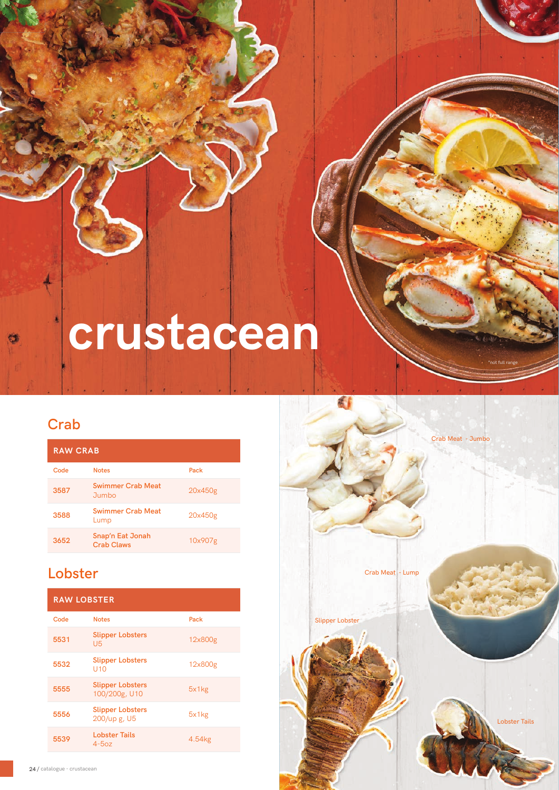# **crustacean**

# **Crab**

SHORE MARINER – PRODUCT CATALOGUE

| <b>RAW CRAB</b> |                                       |         |  |  |
|-----------------|---------------------------------------|---------|--|--|
| Code            | <b>Notes</b>                          | Pack    |  |  |
| 3587            | <b>Swimmer Crab Meat</b><br>Jumbo     | 20x450g |  |  |
| 3588            | <b>Swimmer Crab Meat</b><br>Lump      | 20x450g |  |  |
| 3652            | Snap'n Eat Jonah<br><b>Crab Claws</b> | 10x907g |  |  |

## **Lobster**

| <b>RAW LOBSTER</b> |                                            |         |  |  |
|--------------------|--------------------------------------------|---------|--|--|
| Code               | <b>Notes</b>                               | Pack    |  |  |
| 5531               | <b>Slipper Lobsters</b><br>U5              | 12x800g |  |  |
| 5532               | <b>Slipper Lobsters</b><br>U <sub>10</sub> | 12x800g |  |  |
| 5555               | <b>Slipper Lobsters</b><br>100/200g, U10   | 5x1kg   |  |  |
| 5556               | <b>Slipper Lobsters</b><br>200/up g, U5    | 5x1kg   |  |  |
| 5539               | <b>Lobster Tails</b><br>$4-5oz$            | 4.54kg  |  |  |